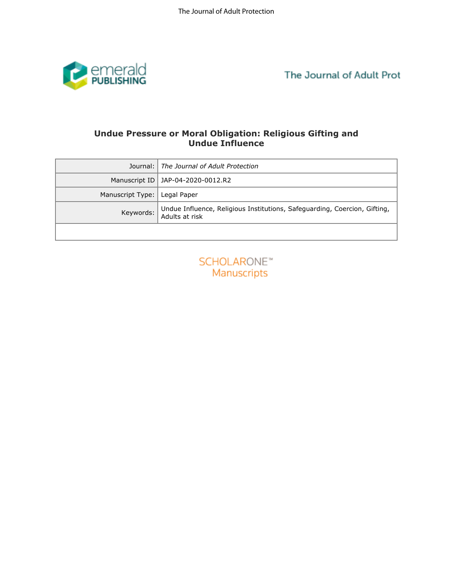

# **Undue Pressure or Moral Obligation: Religious Gifting and<br>Undue Influence**

| Undue Pressure or Moral Obligation: Religious Gifting and<br><b>Undue Influence</b> |                                                                                             |
|-------------------------------------------------------------------------------------|---------------------------------------------------------------------------------------------|
| Journal:                                                                            | The Journal of Adult Protection                                                             |
| Manuscript ID                                                                       | JAP-04-2020-0012.R2                                                                         |
| Manuscript Type:                                                                    | Legal Paper                                                                                 |
| Keywords:                                                                           | Undue Influence, Religious Institutions, Safeguarding, Coercion, Gifting,<br>Adults at risk |
|                                                                                     |                                                                                             |
| <b>SCHOLARONE™</b><br>Manuscripts                                                   |                                                                                             |

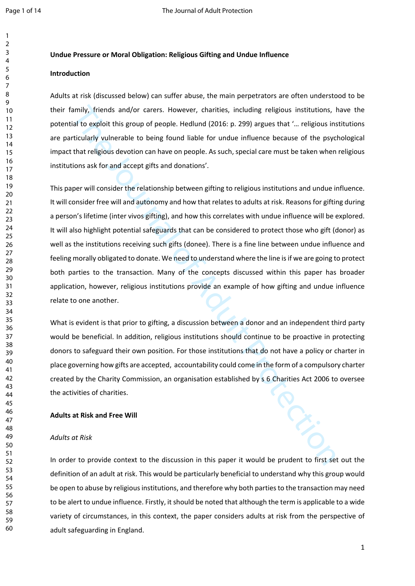#### **Undue Pressure or Moral Obligation: Religious Gifting and Undue Influence**

## **Introduction**

Adults at risk (discussed below) can suffer abuse, the main perpetrators are often understood to be their family, friends and/or carers. However, charities, including religious institutions, have the potential to exploit this group of people. Hedlund (2016: p. 299) argues that '… religious institutions are particularly vulnerable to being found liable for undue influence because of the psychological impact that religious devotion can have on people. As such, special care must be taken when religious institutions ask for and accept gifts and donations'.

amily, friends and/or carers. However, charities, including religious institutions, ial to exploit this group of people. Hedlund (2016: p. 299) argues that "... religious institutionly vulnerable to being forund liable for This paper will consider the relationship between gifting to religious institutions and undue influence. It will consider free will and autonomy and how that relates to adults at risk. Reasons for gifting during a person's lifetime (inter vivos gifting), and how this correlates with undue influence will be explored. It will also highlight potential safeguards that can be considered to protect those who gift (donor) as well as the institutions receiving such gifts (donee). There is a fine line between undue influence and feeling morally obligated to donate. We need to understand where the line is if we are going to protect both parties to the transaction. Many of the concepts discussed within this paper has broader application, however, religious institutions provide an example of how gifting and undue influence relate to one another.

What is evident is that prior to gifting, a discussion between a donor and an independent third party would be beneficial. In addition, religious institutions should continue to be proactive in protecting donors to safeguard their own position. For those institutions that do not have a policy or charter in place governing how gifts are accepted, accountability could come in the form of a compulsory charter created by the Charity Commission, an organisation established by s 6 Charities Act 2006 to oversee the activities of charities.

#### **Adults at Risk and Free Will**

#### *Adults at Risk*

In order to provide context to the discussion in this paper it would be prudent to first set out the definition of an adult at risk. This would be particularly beneficial to understand why this group would be open to abuse by religious institutions, and therefore why both parties to the transaction may need to be alert to undue influence. Firstly, it should be noted that although the term is applicable to a wide variety of circumstances, in this context, the paper considers adults at risk from the perspective of adult safeguarding in England.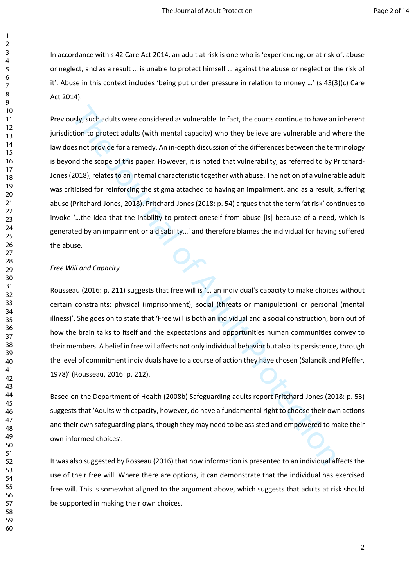In accordance with s 42 Care Act 2014, an adult at risk is one who is 'experiencing, or at risk of, abuse or neglect, and as a result … is unable to protect himself … against the abuse or neglect or the risk of it'. Abuse in this context includes 'being put under pressure in relation to money …' (s 43(3)(c) Care Act 2014).

usly, such adults were considered as vulnerable. In fact, the courts continue to have an cition to protect adults (with mental capacity) who they believe are vulnerable and we so to provide for a remedy. An in-depth discus Previously, such adults were considered as vulnerable. In fact, the courts continue to have an inherent jurisdiction to protect adults (with mental capacity) who they believe are vulnerable and where the law does not provide for a remedy. An in-depth discussion of the differences between the terminology is beyond the scope of this paper. However, it is noted that vulnerability, as referred to by Pritchard-Jones (2018), relates to an internal characteristic together with abuse. The notion of a vulnerable adult was criticised for reinforcing the stigma attached to having an impairment, and as a result, suffering abuse (Pritchard-Jones, 2018). Pritchard-Jones (2018: p. 54) argues that the term 'at risk' continues to invoke '…the idea that the inability to protect oneself from abuse [is] because of a need, which is generated by an impairment or a disability…' and therefore blames the individual for having suffered the abuse.

#### *Free Will and Capacity*

Rousseau (2016: p. 211) suggests that free will is '… an individual's capacity to make choices without certain constraints: physical (imprisonment), social (threats or manipulation) or personal (mental illness)'. She goes on to state that 'Free will is both an individual and a social construction, born out of how the brain talks to itself and the expectations and opportunities human communities convey to their members. A belief in free will affects not only individual behavior but also its persistence, through the level of commitment individuals have to a course of action they have chosen (Salancik and Pfeffer, 1978)' (Rousseau, 2016: p. 212).

Based on the Department of Health (2008b) Safeguarding adults report Pritchard-Jones (2018: p. 53) suggests that 'Adults with capacity, however, do have a fundamental right to choose their own actions and their own safeguarding plans, though they may need to be assisted and empowered to make their own informed choices'.

It was also suggested by Rosseau (2016) that how information is presented to an individual affects the use of their free will. Where there are options, it can demonstrate that the individual has exercised free will. This is somewhat aligned to the argument above, which suggests that adults at risk should be supported in making their own choices.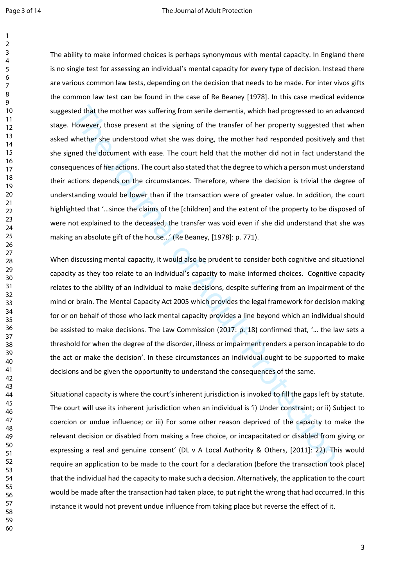ted that the mother was suffering from senile dementia, which had progressed to an a<br>However, those present at the signing of the transfer of her property suggested the<br>whether she understood what she was doing, the mother The ability to make informed choices is perhaps synonymous with mental capacity. In England there is no single test for assessing an individual's mental capacity for every type of decision. Instead there are various common law tests, depending on the decision that needs to be made. For inter vivos gifts the common law test can be found in the case of Re Beaney [1978]. In this case medical evidence suggested that the mother was suffering from senile dementia, which had progressed to an advanced stage. However, those present at the signing of the transfer of her property suggested that when asked whether she understood what she was doing, the mother had responded positively and that she signed the document with ease. The court held that the mother did not in fact understand the consequences of her actions. The court also stated that the degree to which a person must understand their actions depends on the circumstances. Therefore, where the decision is trivial the degree of understanding would be lower than if the transaction were of greater value. In addition, the court highlighted that '…since the claims of the [children] and the extent of the property to be disposed of were not explained to the deceased, the transfer was void even if she did understand that she was making an absolute gift of the house…' (Re Beaney, [1978]: p. 771).

When discussing mental capacity, it would also be prudent to consider both cognitive and situational capacity as they too relate to an individual's capacity to make informed choices. Cognitive capacity relates to the ability of an individual to make decisions, despite suffering from an impairment of the mind or brain. The Mental Capacity Act 2005 which provides the legal framework for decision making for or on behalf of those who lack mental capacity provides a line beyond which an individual should be assisted to make decisions. The Law Commission (2017: p. 18) confirmed that, '… the law sets a threshold for when the degree of the disorder, illness or impairment renders a person incapable to do the act or make the decision'. In these circumstances an individual ought to be supported to make decisions and be given the opportunity to understand the consequences of the same.

Situational capacity is where the court's inherent jurisdiction is invoked to fill the gaps left by statute. The court will use its inherent jurisdiction when an individual is 'i) Under constraint; or ii) Subject to coercion or undue influence; or iii) For some other reason deprived of the capacity to make the relevant decision or disabled from making a free choice, or incapacitated or disabled from giving or expressing a real and genuine consent' (DL v A Local Authority & Others, [2011]: 22). This would require an application to be made to the court for a declaration (before the transaction took place) that the individual had the capacity to make such a decision. Alternatively, the application to the court would be made after the transaction had taken place, to put right the wrong that had occurred. In this instance it would not prevent undue influence from taking place but reverse the effect of it.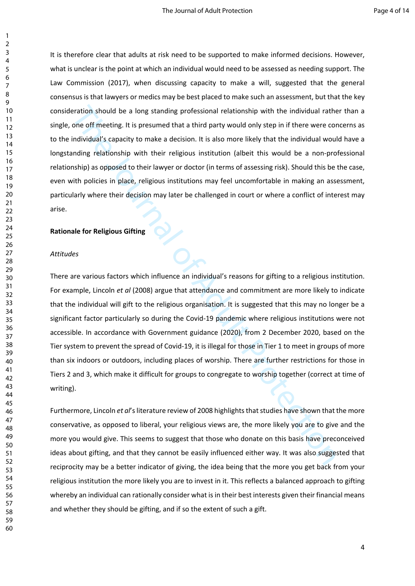It is therefore clear that adults at risk need to be supported to make informed decisions. However, what is unclear is the point at which an individual would need to be assessed as needing support. The Law Commission (2017), when discussing capacity to make a will, suggested that the general consensus is that lawyers or medics may be best placed to make such an assessment, but that the key consideration should be a long standing professional relationship with the individual rather than a single, one off meeting. It is presumed that a third party would only step in if there were concerns as to the individual's capacity to make a decision. It is also more likely that the individual would have a longstanding relationship with their religious institution (albeit this would be a non-professional relationship) as opposed to their lawyer or doctor (in terms of assessing risk). Should this be the case, even with policies in place, religious institutions may feel uncomfortable in making an assessment, particularly where their decision may later be challenged in court or where a conflict of interest may arise.

#### **Rationale for Religious Gifting**

#### *Attitudes*

eration should be a long standing professional relationship with the individual rather of off meeting. It is pressumed that a third party would only step in if there were condividual's capacity to make a decision. It is al There are various factors which influence an individual's reasons for gifting to a religious institution. For example, Lincoln *et al* (2008) argue that attendance and commitment are more likely to indicate that the individual will gift to the religious organisation. It is suggested that this may no longer be a significant factor particularly so during the Covid-19 pandemic where religious institutions were not accessible. In accordance with Government guidance (2020), from 2 December 2020, based on the Tier system to prevent the spread of Covid-19, it is illegal for those in Tier 1 to meet in groups of more than six indoors or outdoors, including places of worship. There are further restrictions for those in Tiers 2 and 3, which make it difficult for groups to congregate to worship together (correct at time of writing).

Furthermore, Lincoln *et al*'s literature review of 2008 highlights that studies have shown that the more conservative, as opposed to liberal, your religious views are, the more likely you are to give and the more you would give. This seems to suggest that those who donate on this basis have preconceived ideas about gifting, and that they cannot be easily influenced either way. It was also suggested that reciprocity may be a better indicator of giving, the idea being that the more you get back from your religious institution the more likely you are to invest in it. This reflects a balanced approach to gifting whereby an individual can rationally consider what is in their best interests given their financial means and whether they should be gifting, and if so the extent of such a gift.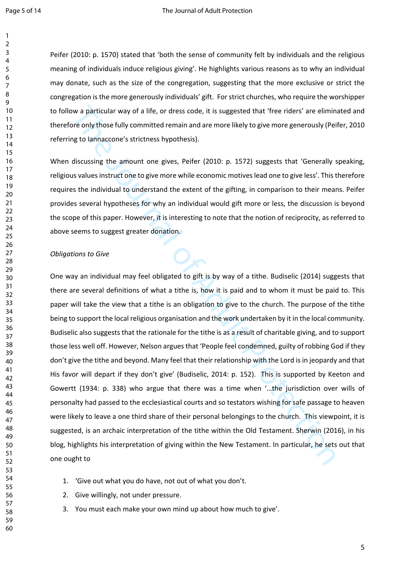Peifer (2010: p. 1570) stated that 'both the sense of community felt by individuals and the religious meaning of individuals induce religious giving'. He highlights various reasons as to why an individual may donate, such as the size of the congregation, suggesting that the more exclusive or strict the congregation is the more generously individuals' gift. For strict churches, who require the worshipper to follow a particular way of a life, or dress code, it is suggested that 'free riders' are eliminated and therefore only those fully committed remain and are more likely to give more generously (Peifer, 2010 referring to Iannaccone's strictness hypothesis).

When discussing the amount one gives, Peifer (2010: p. 1572) suggests that 'Generally speaking, religious values instruct one to give more while economic motives lead one to give less'. This therefore requires the individual to understand the extent of the gifting, in comparison to their means. Peifer provides several hypotheses for why an individual would gift more or less, the discussion is beyond the scope of this paper. However, it is interesting to note that the notion of reciprocity, as referred to above seems to suggest greater donation.

#### *Obligations to Give*

ow a particular way of a life, or dress code, it is suggested that 'free riders' are elimin<br>ore only those fully committed remain and are more likely to give more generously (Pei<br>gto lamaccone's strictness hypothesis).<br>dis One way an individual may feel obligated to gift is by way of a tithe. Budiselic (2014) suggests that there are several definitions of what a tithe is, how it is paid and to whom it must be paid to. This paper will take the view that a tithe is an obligation to give to the church. The purpose of the tithe being to support the local religious organisation and the work undertaken by it in the local community. Budiselic also suggests that the rationale for the tithe is as a result of charitable giving, and to support those less well off. However, Nelson argues that 'People feel condemned, guilty of robbing God if they don't give the tithe and beyond. Many feel that their relationship with the Lord is in jeopardy and that His favor will depart if they don't give' (Budiselic, 2014: p. 152). This is supported by Keeton and Gowertt (1934: p. 338) who argue that there was a time when '…the jurisdiction over wills of personalty had passed to the ecclesiastical courts and so testators wishing for safe passage to heaven were likely to leave a one third share of their personal belongings to the church. This viewpoint, it is suggested, is an archaic interpretation of the tithe within the Old Testament. Sherwin (2016), in his blog, highlights his interpretation of giving within the New Testament. In particular, he sets out that one ought to

- 1. 'Give out what you do have, not out of what you don't.
- 2. Give willingly, not under pressure.
- 3. You must each make your own mind up about how much to give'.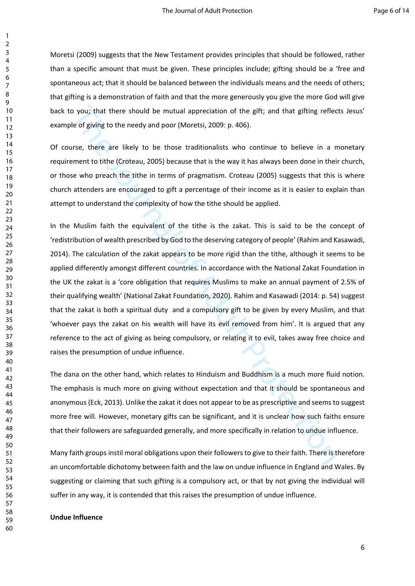Moretsi (2009) suggests that the New Testament provides principles that should be followed, rather than a specific amount that must be given. These principles include; gifting should be a 'free and spontaneous act; that it should be balanced between the individuals means and the needs of others; that gifting is a demonstration of faith and that the more generously you give the more God will give back to you; that there should be mutual appreciation of the gift; and that gifting reflects Jesus' example of giving to the needy and poor (Moretsi, 2009: p. 406).

Of course, there are likely to be those traditionalists who continue to believe in a monetary requirement to tithe (Croteau, 2005) because that is the way it has always been done in their church, or those who preach the tithe in terms of pragmatism. Croteau (2005) suggests that this is where church attenders are encouraged to gift a percentage of their income as it is easier to explain than attempt to understand the complexity of how the tithe should be applied.

o you; that there should be mutual appreciation of the gift; and that gifting reflected feormation of the gift; and that gifting reflected feormation of the needy and poor (Moretsi, 2009; p. 406).<br>
Trues, there are likely In the Muslim faith the equivalent of the tithe is the zakat. This is said to be the concept of 'redistribution of wealth prescribed by God to the deserving category of people' (Rahim and Kasawadi, 2014). The calculation of the zakat appears to be more rigid than the tithe, although it seems to be applied differently amongst different countries. In accordance with the National Zakat Foundation in the UK the zakat is a 'core obligation that requires Muslims to make an annual payment of 2.5% of their qualifying wealth' (National Zakat Foundation, 2020). Rahim and Kasawadi (2014: p. 54) suggest that the zakat is both a spiritual duty and a compulsory gift to be given by every Muslim, and that 'whoever pays the zakat on his wealth will have its evil removed from him'. It is argued that any reference to the act of giving as being compulsory, or relating it to evil, takes away free choice and raises the presumption of undue influence.

The dana on the other hand, which relates to Hinduism and Buddhism is a much more fluid notion. The emphasis is much more on giving without expectation and that it should be spontaneous and anonymous (Eck, 2013). Unlike the zakat it does not appear to be as prescriptive and seems to suggest more free will. However, monetary gifts can be significant, and it is unclear how such faiths ensure that their followers are safeguarded generally, and more specifically in relation to undue influence.

Many faith groups instil moral obligations upon their followers to give to their faith. There is therefore an uncomfortable dichotomy between faith and the law on undue influence in England and Wales. By suggesting or claiming that such gifting is a compulsory act, or that by not giving the individual will suffer in any way, it is contended that this raises the presumption of undue influence.

#### **Undue Influence**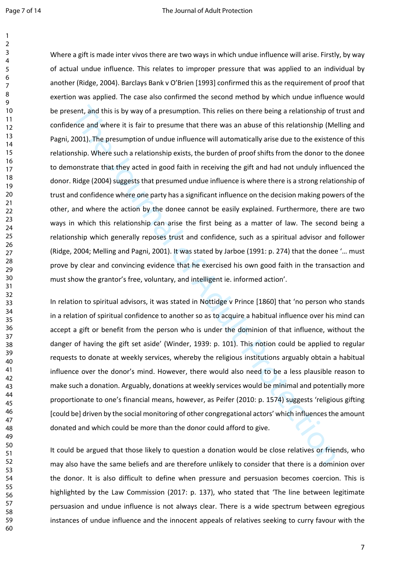sent, and this is by way of a presumption. This relies on there being a relationship of the<br>erice and where it is fair to presume that there was an abuse of this relationship (Me<br>2001). The presumption of undue influence w Where a gift is made inter vivos there are two ways in which undue influence will arise. Firstly, by way of actual undue influence. This relates to improper pressure that was applied to an individual by another (Ridge, 2004). Barclays Bank v O'Brien [1993] confirmed this as the requirement of proof that exertion was applied. The case also confirmed the second method by which undue influence would be present, and this is by way of a presumption. This relies on there being a relationship of trust and confidence and where it is fair to presume that there was an abuse of this relationship (Melling and Pagni, 2001). The presumption of undue influence will automatically arise due to the existence of this relationship. Where such a relationship exists, the burden of proof shifts from the donor to the donee to demonstrate that they acted in good faith in receiving the gift and had not unduly influenced the donor. Ridge (2004) suggests that presumed undue influence is where there is a strong relationship of trust and confidence where one party has a significant influence on the decision making powers of the other, and where the action by the donee cannot be easily explained. Furthermore, there are two ways in which this relationship can arise the first being as a matter of law. The second being a relationship which generally reposes trust and confidence, such as a spiritual advisor and follower (Ridge, 2004; Melling and Pagni, 2001). It was stated by Jarboe (1991: p. 274) that the donee '… must prove by clear and convincing evidence that he exercised his own good faith in the transaction and must show the grantor's free, voluntary, and intelligent ie. informed action'.

In relation to spiritual advisors, it was stated in Nottidge v Prince [1860] that 'no person who stands in a relation of spiritual confidence to another so as to acquire a habitual influence over his mind can accept a gift or benefit from the person who is under the dominion of that influence, without the danger of having the gift set aside' (Winder, 1939: p. 101). This notion could be applied to regular requests to donate at weekly services, whereby the religious institutions arguably obtain a habitual influence over the donor's mind. However, there would also need to be a less plausible reason to make such a donation. Arguably, donations at weekly services would be minimal and potentially more proportionate to one's financial means, however, as Peifer (2010: p. 1574) suggests 'religious gifting [could be] driven by the social monitoring of other congregational actors' which influences the amount donated and which could be more than the donor could afford to give.

It could be argued that those likely to question a donation would be close relatives or friends, who may also have the same beliefs and are therefore unlikely to consider that there is a dominion over the donor. It is also difficult to define when pressure and persuasion becomes coercion. This is highlighted by the Law Commission (2017: p. 137), who stated that 'The line between legitimate persuasion and undue influence is not always clear. There is a wide spectrum between egregious instances of undue influence and the innocent appeals of relatives seeking to curry favour with the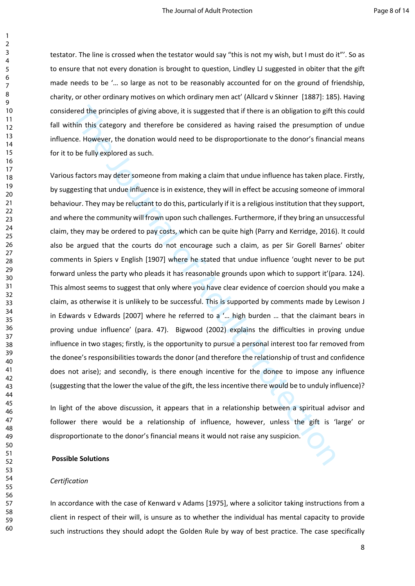testator. The line is crossed when the testator would say "this is not my wish, but I must do it"'. So as to ensure that not every donation is brought to question, Lindley LJ suggested in obiter that the gift made needs to be '… so large as not to be reasonably accounted for on the ground of friendship, charity, or other ordinary motives on which ordinary men act' (Allcard v Skinner [1887]: 185). Having considered the principles of giving above, it is suggested that if there is an obligation to gift this could fall within this category and therefore be considered as having raised the presumption of undue influence. However, the donation would need to be disproportionate to the donor's financial means for it to be fully explored as such.

ered the principles of glving above, it is suggested that if there is an obligation to gift thin this category and therefore be considered as having raised the presumption coe. However, the donation would need to be dispro Various factors may deter someone from making a claim that undue influence has taken place. Firstly, by suggesting that undue influence is in existence, they will in effect be accusing someone of immoral behaviour. They may be reluctant to do this, particularly if it is a religious institution that they support, and where the community will frown upon such challenges. Furthermore, if they bring an unsuccessful claim, they may be ordered to pay costs, which can be quite high (Parry and Kerridge, 2016). It could also be argued that the courts do not encourage such a claim, as per Sir Gorell Barnes' obiter comments in Spiers v English [1907] where he stated that undue influence 'ought never to be put forward unless the party who pleads it has reasonable grounds upon which to support it'(para. 124). This almost seems to suggest that only where you have clear evidence of coercion should you make a claim, as otherwise it is unlikely to be successful. This is supported by comments made by Lewison J in Edwards v Edwards [2007] where he referred to a '… high burden … that the claimant bears in proving undue influence' (para. 47). Bigwood (2002) explains the difficulties in proving undue influence in two stages; firstly, is the opportunity to pursue a personal interest too far removed from the donee's responsibilities towards the donor (and therefore the relationship of trust and confidence does not arise); and secondly, is there enough incentive for the donee to impose any influence (suggesting that the lower the value of the gift, the less incentive there would be to unduly influence)?

In light of the above discussion, it appears that in a relationship between a spiritual advisor and follower there would be a relationship of influence, however, unless the gift is 'large' or disproportionate to the donor's financial means it would not raise any suspicion.

#### **Possible Solutions**

#### *Certification*

In accordance with the case of Kenward v Adams [1975], where a solicitor taking instructions from a client in respect of their will, is unsure as to whether the individual has mental capacity to provide such instructions they should adopt the Golden Rule by way of best practice. The case specifically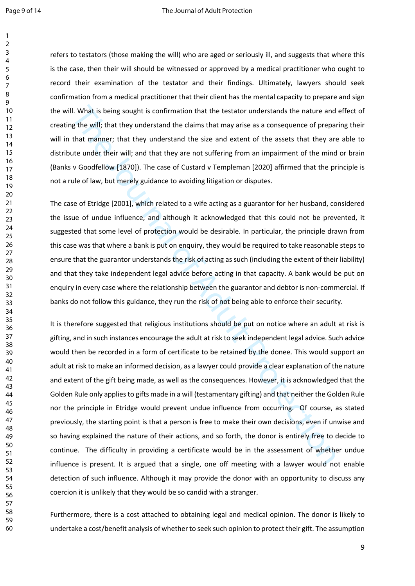refers to testators (those making the will) who are aged or seriously ill, and suggests that where this is the case, then their will should be witnessed or approved by a medical practitioner who ought to record their examination of the testator and their findings. Ultimately, lawyers should seek confirmation from a medical practitioner that their client has the mental capacity to prepare and sign the will. What is being sought is confirmation that the testator understands the nature and effect of creating the will; that they understand the claims that may arise as a consequence of preparing their will in that manner; that they understand the size and extent of the assets that they are able to distribute under their will; and that they are not suffering from an impairment of the mind or brain (Banks v Goodfellow [1870]). The case of Custard v Templeman [2020] affirmed that the principle is not a rule of law, but merely guidance to avoiding litigation or disputes.

The case of Etridge [2001], which related to a wife acting as a guarantor for her husband, considered the issue of undue influence, and although it acknowledged that this could not be prevented, it suggested that some level of protection would be desirable. In particular, the principle drawn from this case was that where a bank is put on enquiry, they would be required to take reasonable steps to ensure that the guarantor understands the risk of acting as such (including the extent of their liability) and that they take independent legal advice before acting in that capacity. A bank would be put on enquiry in every case where the relationship between the guarantor and debtor is non-commercial. If banks do not follow this guidance, they run the risk of not being able to enforce their security.

I. What is being sought is confirmation that the testator understands the nature and<br>the will; that they understand the claims that may arise as a consequence of prepare<br>that manner; that they understand the size and exten It is therefore suggested that religious institutions should be put on notice where an adult at risk is gifting, and in such instances encourage the adult at risk to seek independent legal advice. Such advice would then be recorded in a form of certificate to be retained by the donee. This would support an adult at risk to make an informed decision, as a lawyer could provide a clear explanation of the nature and extent of the gift being made, as well as the consequences. However, it is acknowledged that the Golden Rule only applies to gifts made in a will (testamentary gifting) and that neither the Golden Rule nor the principle in Etridge would prevent undue influence from occurring. Of course, as stated previously, the starting point is that a person is free to make their own decisions, even if unwise and so having explained the nature of their actions, and so forth, the donor is entirely free to decide to continue. The difficulty in providing a certificate would be in the assessment of whether undue influence is present. It is argued that a single, one off meeting with a lawyer would not enable detection of such influence. Although it may provide the donor with an opportunity to discuss any coercion it is unlikely that they would be so candid with a stranger.

Furthermore, there is a cost attached to obtaining legal and medical opinion. The donor is likely to undertake a cost/benefit analysis of whether to seek such opinion to protect their gift. The assumption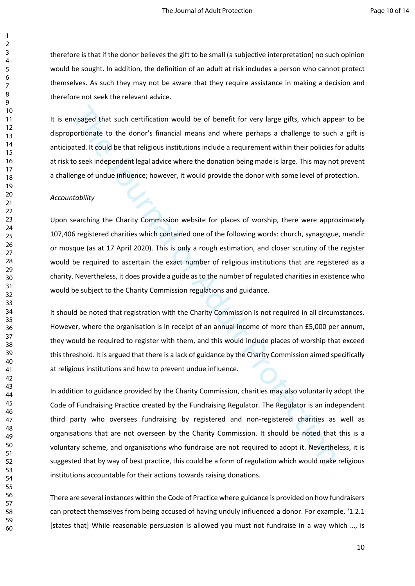therefore is that if the donor believes the gift to be small (a subjective interpretation) no such opinion would be sought. In addition, the definition of an adult at risk includes a person who cannot protect themselves. As such they may not be aware that they require assistance in making a decision and therefore not seek the relevant advice.

It is envisaged that such certification would be of benefit for very large gifts, which appear to be disproportionate to the donor's financial means and where perhaps a challenge to such a gift is anticipated. It could be that religious institutions include a requirement within their policies for adults at risk to seek independent legal advice where the donation being made is large. This may not prevent a challenge of undue influence; however, it would provide the donor with some level of protection.

## *Accountability*

Upon searching the Charity Commission website for places of worship, there were approximately 107,406 registered charities which contained one of the following words: church, synagogue, mandir or mosque (as at 17 April 2020). This is only a rough estimation, and closer scrutiny of the register would be required to ascertain the exact number of religious institutions that are registered as a charity. Nevertheless, it does provide a guide as to the number of regulated charities in existence who would be subject to the Charity Commission regulations and guidance.

It should be noted that registration with the Charity Commission is not required in all circumstances. However, where the organisation is in receipt of an annual income of more than £5,000 per annum, they would be required to register with them, and this would include places of worship that exceed this threshold. It is argued that there is a lack of guidance by the Charity Commission aimed specifically at religious institutions and how to prevent undue influence.

wisaged that such certification would be of benefit for very large gifts, which apportionate to the donor's financial means and where perhaps a challenge to such<br>ated. It could be that religious institutions include a requ In addition to guidance provided by the Charity Commission, charities may also voluntarily adopt the Code of Fundraising Practice created by the Fundraising Regulator. The Regulator is an independent third party who oversees fundraising by registered and non-registered charities as well as organisations that are not overseen by the Charity Commission. It should be noted that this is a voluntary scheme, and organisations who fundraise are not required to adopt it. Nevertheless, it is suggested that by way of best practice, this could be a form of regulation which would make religious institutions accountable for their actions towards raising donations.

There are several instances within the Code of Practice where guidance is provided on how fundraisers can protect themselves from being accused of having unduly influenced a donor. For example, '1.2.1 [states that] While reasonable persuasion is allowed you must not fundraise in a way which …, is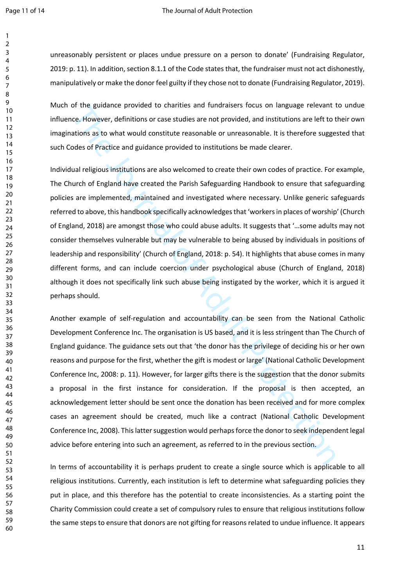#### Page 11 of 14 The Journal of Adult Protection

unreasonably persistent or places undue pressure on a person to donate' (Fundraising Regulator, 2019: p. 11). In addition, section 8.1.1 of the Code states that, the fundraiser must not act dishonestly, manipulatively or make the donor feel guilty if they chose not to donate (Fundraising Regulator, 2019).

Much of the guidance provided to charities and fundraisers focus on language relevant to undue influence. However, definitions or case studies are not provided, and institutions are left to their own imaginations as to what would constitute reasonable or unreasonable. It is therefore suggested that such Codes of Practice and guidance provided to institutions be made clearer.

Individual religious institutions are also welcomed to create their own codes of practice. For example, The Church of England have created the Parish Safeguarding Handbook to ensure that safeguarding policies are implemented, maintained and investigated where necessary. Unlike generic safeguards referred to above, this handbook specifically acknowledges that 'workers in places of worship' (Church of England, 2018) are amongst those who could abuse adults. It suggests that '…some adults may not consider themselves vulnerable but may be vulnerable to being abused by individuals in positions of leadership and responsibility' (Church of England, 2018: p. 54). It highlights that abuse comes in many different forms, and can include coercion under psychological abuse (Church of England, 2018) although it does not specifically link such abuse being instigated by the worker, which it is argued it perhaps should.

or the guidance provided to charities and fundraisers focus on language relevant to the accelese. However, definitions are studied are not provided, and institutions are left to tractions as to what would constitute reason Another example of self-regulation and accountability can be seen from the National Catholic Development Conference Inc. The organisation is US based, and it is less stringent than The Church of England guidance. The guidance sets out that 'the donor has the privilege of deciding his or her own reasons and purpose for the first, whether the gift is modest or large' (National Catholic Development Conference Inc, 2008: p. 11). However, for larger gifts there is the suggestion that the donor submits a proposal in the first instance for consideration. If the proposal is then accepted, an acknowledgement letter should be sent once the donation has been received and for more complex cases an agreement should be created, much like a contract (National Catholic Development Conference Inc, 2008). This latter suggestion would perhaps force the donor to seek independent legal advice before entering into such an agreement, as referred to in the previous section.

In terms of accountability it is perhaps prudent to create a single source which is applicable to all religious institutions. Currently, each institution is left to determine what safeguarding policies they put in place, and this therefore has the potential to create inconsistencies. As a starting point the Charity Commission could create a set of compulsory rules to ensure that religious institutions follow the same steps to ensure that donors are not gifting for reasons related to undue influence. It appears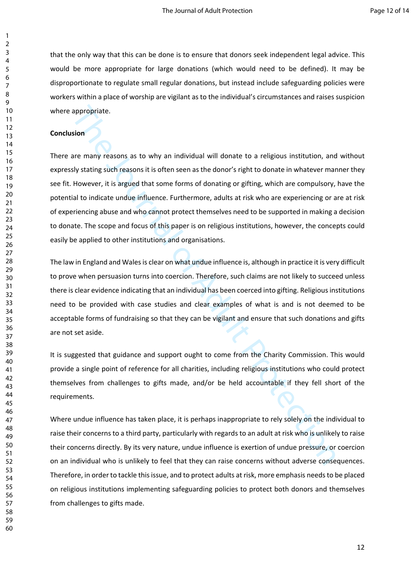that the only way that this can be done is to ensure that donors seek independent legal advice. This would be more appropriate for large donations (which would need to be defined). It may be disproportionate to regulate small regular donations, but instead include safeguarding policies were workers within a place of worship are vigilant as to the individual's circumstances and raises suspicion where appropriate.

## **Conclusion**

appropriate.<br>
sion<br>
sion<br>
sion<br>
sion<br>
signistics and reasons it is often seen as the donor's right to donate in whatever mary<br>
siy tathing such reasons it is often seen as the donor's right to donate in whatever mar<br>
Howev There are many reasons as to why an individual will donate to a religious institution, and without expressly stating such reasons it is often seen as the donor's right to donate in whatever manner they see fit. However, it is argued that some forms of donating or gifting, which are compulsory, have the potential to indicate undue influence. Furthermore, adults at risk who are experiencing or are at risk of experiencing abuse and who cannot protect themselves need to be supported in making a decision to donate. The scope and focus of this paper is on religious institutions, however, the concepts could easily be applied to other institutions and organisations.

The law in England and Wales is clear on what undue influence is, although in practice it is very difficult to prove when persuasion turns into coercion. Therefore, such claims are not likely to succeed unless there is clear evidence indicating that an individual has been coerced into gifting. Religious institutions need to be provided with case studies and clear examples of what is and is not deemed to be acceptable forms of fundraising so that they can be vigilant and ensure that such donations and gifts are not set aside.

It is suggested that guidance and support ought to come from the Charity Commission. This would provide a single point of reference for all charities, including religious institutions who could protect themselves from challenges to gifts made, and/or be held accountable if they fell short of the requirements.

Where undue influence has taken place, it is perhaps inappropriate to rely solely on the individual to raise their concerns to a third party, particularly with regards to an adult at risk who is unlikely to raise their concerns directly. By its very nature, undue influence is exertion of undue pressure, or coercion on an individual who is unlikely to feel that they can raise concerns without adverse consequences. Therefore, in order to tackle this issue, and to protect adults at risk, more emphasis needs to be placed on religious institutions implementing safeguarding policies to protect both donors and themselves from challenges to gifts made.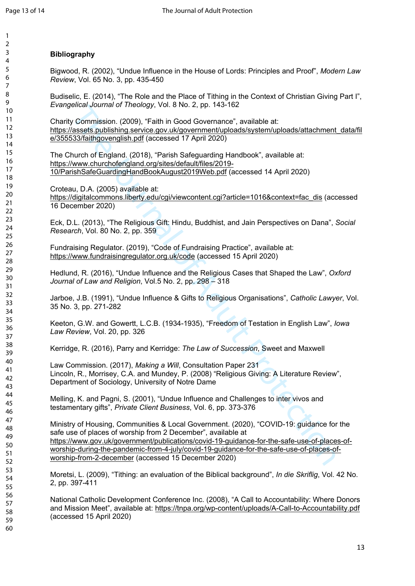### 2 3 4 5 6 7 8 9 10 11 12 13 14 15 16 17 18 19 20 21  $22$ 23 24 25 26 27 28 29 30 31 32 33 34 35 36 37 38 39 40 41 42 43 44 45 46 47 48 49 50 51 52 53 54 55 56 57 58 59 60

## **Bibliography**

Bigwood, R. (2002), "Undue Influence in the House of Lords: Principles and Proof", *Modern Law Review*, Vol. 65 No. 3, pp. 435-450

Budiselic, E. (2014), "The Role and the Place of Tithing in the Context of Christian Giving Part I", *Evangelical Journal of Theology*, Vol. 8 No. 2, pp. 143-162

Charity Commission. (2009), "Faith in Good Governance", available at: [https://assets.publishing.service.gov.uk/government/uploads/system/uploads/attachment\\_data/fil](https://assets.publishing.service.gov.uk/government/uploads/system/uploads/attachment_data/file/355533/faithgovenglish.pdf) [e/355533/faithgovenglish.pdf](https://assets.publishing.service.gov.uk/government/uploads/system/uploads/attachment_data/file/355533/faithgovenglish.pdf) (accessed 17 April 2020)

The Church of England. (2018), "Parish Safeguarding Handbook", available at: https://www.churchofengland.org/sites/default/files/2019- 10/ParishSafeGuardingHandBookAugust2019Web.pdf (accessed 14 April 2020)

Croteau, D.A. (2005) available at:

https://digitalcommons.liberty.edu/cgi/viewcontent.cgi?article=1016&context=fac\_dis (accessed 16 December 2020)

Eck, D.L. (2013), "The Religious Gift: Hindu, Buddhist, and Jain Perspectives on Dana", *Social Research*, Vol. 80 No. 2, pp. 359

Fundraising Regulator. (2019), "Code of Fundraising Practice", available at: <https://www.fundraisingregulator.org.uk/code>(accessed 15 April 2020)

Hedlund, R. (2016), "Undue Influence and the Religious Cases that Shaped the Law", *Oxford Journal of Law and Religion*, Vol.5 No. 2, pp. 298 – 318

Jarboe, J.B. (1991), "Undue Influence & Gifts to Religious Organisations", *Catholic Lawyer*, Vol. 35 No. 3, pp. 271-282

Keeton, G.W. and Gowertt, L.C.B. (1934-1935), "Freedom of Testation in English Law", *Iowa Law Review*, Vol. 20, pp. 326

Kerridge, R. (2016), Parry and Kerridge: *The Law of Succession*, Sweet and Maxwell

Law Commission. (2017), *Making a Will*, Consultation Paper 231 Lincoln, R., Morrisey, C.A. and Mundey, P. (2008) "Religious Giving: A Literature Review", Department of Sociology, University of Notre Dame

Melling, K. and Pagni, S. (2001), "Undue Influence and Challenges to inter vivos and testamentary gifts", *Private Client Business*, Vol. 6, pp. 373-376

elical of The Religious City. 1800 - Statistics and the Nati[on](https://www.gov.uk/government/publications/covid-19-guidance-for-the-safe-use-of-places-of-worship-during-the-pandemic-from-4-july/covid-19-guidance-for-the-safe-use-of-places-of-worship-from-2-december)al Commission. (2006), "Faith in Good Governance", available at:<br>
Commission. (2009), "Faith in Good Governance", available at:<br>
Nucro The Igland. (2018), "Fait Ministry of Housing, Communities & Local Government. (2020), "COVID-19: guidance for the safe use of places of worship from 2 December", available at https://www.gov.uk/government/publications/covid-19-guidance-for-the-safe-use-of-places-ofworship-during-the-pandemic-from-4-july/covid-19-guidance-for-the-safe-use-of-places-of[worship-from-2-december](https://www.gov.uk/government/publications/covid-19-guidance-for-the-safe-use-of-places-of-worship-during-the-pandemic-from-4-july/covid-19-guidance-for-the-safe-use-of-places-of-worship-from-2-december) (accessed 15 December 2020)

Moretsi, L. (2009), "Tithing: an evaluation of the Biblical background", *In die Skriflig*, Vol. 42 No. 2, pp. 397-411

National Catholic Development Conference Inc. (2008), "A Call to Accountability: Where Donors and Mission Meet", available at: <https://tnpa.org/wp-content/uploads/A-Call-to-Accountability.pdf> (accessed 15 April 2020)